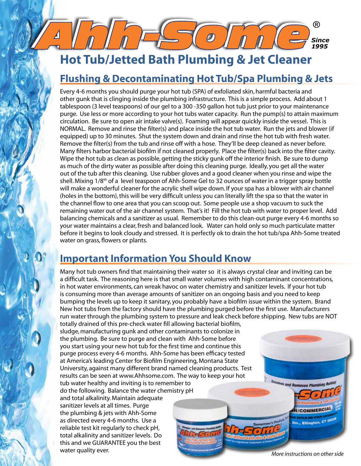## **Hot Tub/Jetted Bath Plumbing & Jet Cleaner**

### **Flushing & Decontaminating Hot Tub/Spa Plumbing & Jets**

 $\boldsymbol{O}$ 

Every 4-6 months you should purge your hot tub (SPA) of exfoliated skin, harmful bacteria and other gunk that is clinging inside the plumbing infrastructure. This is a simple process. Add about 1 tablespoon (3 level teaspoons) of our gel to a 300 -350 gallon hot tub just prior to your maintenance purge. Use less or more according to your hot tubs water capacity. Run the pump(s) to attain maximum circulation. Be sure to open air intake valve(s). Foaming will appear quickly inside the vessel. This is NORMAL. Remove and rinse the filter(s) and place inside the hot tub water. Run the jets and blower (if equipped) up to 30 minutes. Shut the system down and drain and rinse the hot tub with fresh water. Remove the filter(s) from the tub and rinse off with a hose. They'll be deep cleaned as never before. Many filters harbor bacterial biofilm if not cleaned properly. Place the filter(s) back into the filter cavity. Wipe the hot tub as clean as possible, getting the sticky gunk off the interior finish. Be sure to dump as much of the dirty water as possible after doing this cleaning purge. Ideally, you get all the water out of the tub after this cleaning. Use rubber gloves and a good cleaner when you rinse and wipe the shell. Mixing 1/8th of a level teaspoon of Ahh-Some Gel to 32 ounces of water in a trigger spray bottle will make a wonderful cleaner for the acrylic shell wipe down. If your spa has a blower with air channel (holes in the bottom), this will be very difficult unless you can literally lift the spa so that the water in the channel flow to one area that you can scoop out. Some people use a shop vacuum to suck the remaining water out of the air channel system. That's it! Fill the hot tub with water to proper level. Add balancing chemicals and a sanitizer as usual. Remember to do this clean-out purge every 4-6 months so your water maintains a clear, fresh and balanced look. Water can hold only so much particulate matter before it begins to look cloudy and stressed. It is perfectly ok to drain the hot tub/spa Ahh-Some treated water on grass, flowers or plants.

## **Important Information You Should Know**

Many hot tub owners find that maintaining their water so it is always crystal clear and inviting can be a difficult task. The reasoning here is that small water volumes with high contaminant concentrations, in hot water environments, can wreak havoc on water chemistry and sanitizer levels. If your hot tub is consuming more than average amounts of sanitizer on an ongoing basis and you need to keep bumping the levels up to keep it sanitary, you probably have a biofilm issue within the system. Brand New hot tubs from the factory should have the plumbing purged before the first use. Manufacturers run water through the plumbing system to pressure and leak check before shipping. New tubs are NOT

totally drained of this pre-check water fill allowing bacterial biofilm, sludge, manufacturing gunk and other contaminants to colonize in the plumbing. Be sure to purge and clean with Ahh-Some before you start using your new hot tub for the first time and continue this purge process every 4-6 months. Ahh-Some has been efficacy tested at America's leading Center for Biofilm Engineering, Montana State University, against many different brand named cleaning products. Test results can be seen at www.Ahhsome.com. The way to keep your hot tub water healthy and inviting is to remember to do the following. Balance the water chemistry pH and total alkalinity. Maintain adequate sanitizer levels at all times. Purge the plumbing & jets with Ahh-Some as directed every 4-6 months. Use a reliable test kit regularly to check pH, total alkalinity and sanitizer levels. Do this and we GUARANTEE you the best water quality ever.

*More instructions on other side*

**N/COMMERCIAL** 

the., Ellington, CT 06025

<sup>es</sup> and Removes Plum

*Since 1995*

®